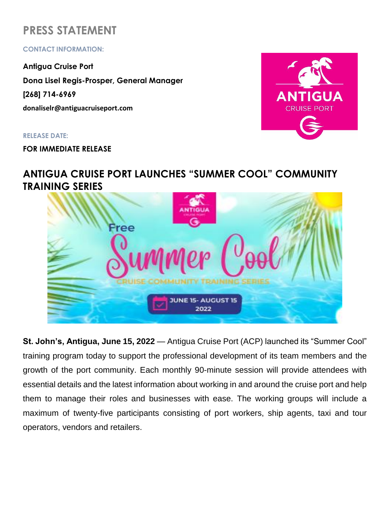# **PRESS STATEMENT**

## **CONTACT INFORMATION:**

**Antigua Cruise Port Dona Lisel Regis-Prosper, General Manager [268] 714-6969 donaliselr@antiguacruiseport.com**

#### **RELEASE DATE:**

**FOR IMMEDIATE RELEASE**



# **ANTIGUA CRUISE PORT LAUNCHES "SUMMER COOL" COMMUNITY TRAINING SERIES**



**St. John's, Antigua, June 15, 2022** — Antigua Cruise Port (ACP) launched its "Summer Cool" training program today to support the professional development of its team members and the growth of the port community. Each monthly 90-minute session will provide attendees with essential details and the latest information about working in and around the cruise port and help them to manage their roles and businesses with ease. The working groups will include a maximum of twenty-five participants consisting of port workers, ship agents, taxi and tour operators, vendors and retailers.